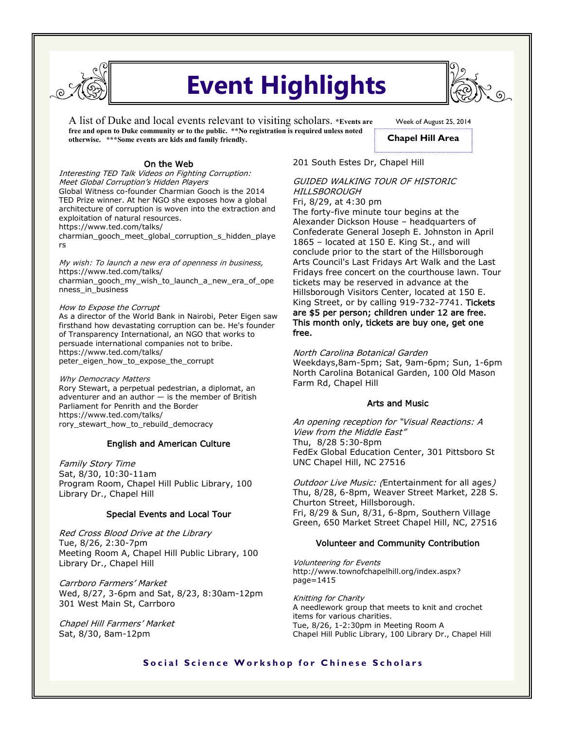

# **Event Highlights**

A list of Duke and local events relevant to visiting scholars. **\*Events are free and open to Duke community or to the public. \*\*No registration is required unless noted otherwise. \*\*\*Some events are kids and family friendly.** 

## On the Web

Interesting TED Talk Videos on Fighting Corruption: Meet Global Corruption's Hidden Players Global Witness co-founder Charmian Gooch is the 2014 TED Prize winner. At her NGO she exposes how a global architecture of corruption is woven into the extraction and exploitation of natural resources. https://www.ted.com/talks/

charmian\_gooch\_meet\_global\_corruption\_s\_hidden\_playe rs

My wish: To launch a new era of openness in business, https://www.ted.com/talks/ charmian\_gooch\_my\_wish\_to\_launch\_a\_new\_era\_of\_ope nness\_in\_business

How to Expose the Corrupt

As a director of the World Bank in Nairobi, Peter Eigen saw firsthand how devastating corruption can be. He's founder of Transparency International, an NGO that works to persuade international companies not to bribe. https://www.ted.com/talks/ peter\_eigen\_how\_to\_expose\_the\_corrupt

Why Democracy Matters Rory Stewart, a perpetual pedestrian, a diplomat, an adventurer and an author — is the member of British Parliament for Penrith and the Border https://www.ted.com/talks/ rory\_stewart\_how\_to\_rebuild\_democracy

## English and American Culture

Family Story Time Sat, 8/30, 10:30-11am Program Room, Chapel Hill Public Library, 100 Library Dr., Chapel Hill

## Special Events and Local Tour

Red Cross Blood Drive at the Library Tue, 8/26, 2:30-7pm Meeting Room A, Chapel Hill Public Library, 100 Library Dr., Chapel Hill

Carrboro Farmers' Market Wed, 8/27, 3-6pm and Sat, 8/23, 8:30am-12pm 301 West Main St, Carrboro

Chapel Hill Farmers' Market Sat, 8/30, 8am-12pm

## 201 South Estes Dr, Chapel Hill

## GUIDED WALKING TOUR OF HISTORIC **HILLSBOROUGH**

Fri, 8/29, at 4:30 pm The forty-five minute tour begins at the Alexander Dickson House – headquarters of Confederate General Joseph E. Johnston in April 1865 – located at 150 E. King St., and will conclude prior to the start of the Hillsborough Arts Council's Last Fridays Art Walk and the Last Fridays free concert on the courthouse lawn. Tour tickets may be reserved in advance at the Hillsborough Visitors Center, located at 150 E. King Street, or by calling 919-732-7741. Tickets are \$5 per person; children under 12 are free. This month only, tickets are buy one, get one free.

North Carolina Botanical Garden

Weekdays,8am-5pm; Sat, 9am-6pm; Sun, 1-6pm North Carolina Botanical Garden, 100 Old Mason Farm Rd, Chapel Hill

## Arts and Music

An opening reception for "Visual Reactions: A View from the Middle East" Thu, 8/28 5:30-8pm FedEx Global Education Center, 301 Pittsboro St UNC Chapel Hill, NC 27516

Outdoor Live Music: (Entertainment for all ages) Thu, 8/28, 6-8pm, Weaver Street Market, 228 S. Churton Street, Hillsborough. Fri, 8/29 & Sun, 8/31, 6-8pm, Southern Village Green, 650 Market Street Chapel Hill, NC, 27516

## Volunteer and Community Contribution

Volunteering for Events http://www.townofchapelhill.org/index.aspx? page=1415

Knitting for Charity A needlework group that meets to knit and crochet items for various charities. Tue, 8/26, 1-2:30pm in Meeting Room A Chapel Hill Public Library, 100 Library Dr., Chapel Hill

## **Social Science Workshop for Chinese Scholars**

Week of August 25, 2014

**Chapel Hill Area**